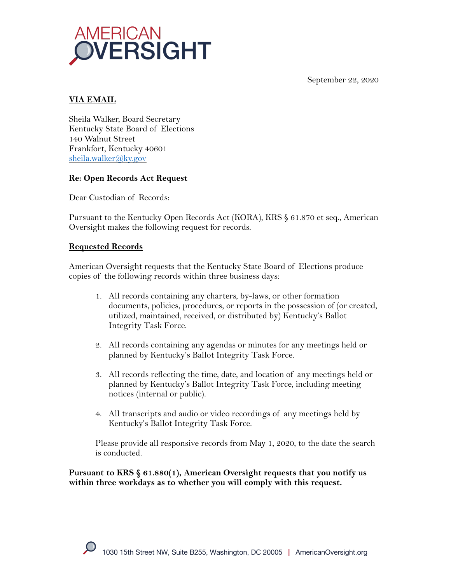



### **VIA EMAIL**

Sheila Walker, Board Secretary Kentucky State Board of Elections 140 Walnut Street Frankfort, Kentucky 40601 sheila.walker@ky.gov

# **Re: Open Records Act Request**

Dear Custodian of Records:

Pursuant to the Kentucky Open Records Act (KORA), KRS § 61.870 et seq., American Oversight makes the following request for records.

# **Requested Records**

American Oversight requests that the Kentucky State Board of Elections produce copies of the following records within three business days:

- 1. All records containing any charters, by-laws, or other formation documents, policies, procedures, or reports in the possession of (or created, utilized, maintained, received, or distributed by) Kentucky's Ballot Integrity Task Force.
- 2. All records containing any agendas or minutes for any meetings held or planned by Kentucky's Ballot Integrity Task Force.
- 3. All records reflecting the time, date, and location of any meetings held or planned by Kentucky's Ballot Integrity Task Force, including meeting notices (internal or public).
- 4. All transcripts and audio or video recordings of any meetings held by Kentucky's Ballot Integrity Task Force.

Please provide all responsive records from May 1, 2020, to the date the search is conducted.

**Pursuant to KRS § 61.880(1), American Oversight requests that you notify us within three workdays as to whether you will comply with this request.**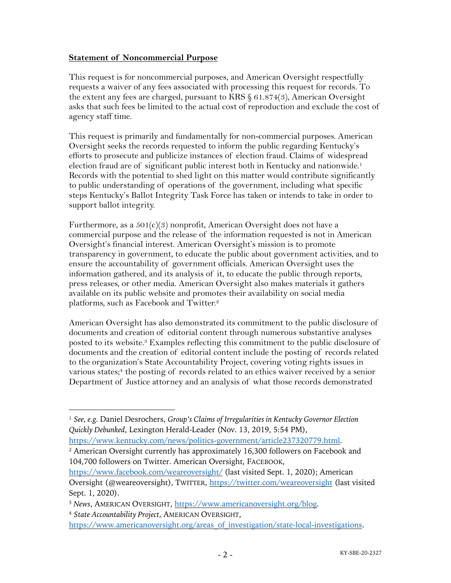#### **Statement of Noncommercial Purpose**

This request is for noncommercial purposes, and American Oversight respectfully requests a waiver of any fees associated with processing this request for records. To the extent any fees are charged, pursuant to KRS § 61.874(3), American Oversight asks that such fees be limited to the actual cost of reproduction and exclude the cost of agency staff time.

This request is primarily and fundamentally for non-commercial purposes. American Oversight seeks the records requested to inform the public regarding Kentucky's efforts to prosecute and publicize instances of election fraud. Claims of widespread election fraud are of significant public interest both in Kentucky and nationwide.<sup>1</sup> Records with the potential to shed light on this matter would contribute significantly to public understanding of operations of the government, including what specific steps Kentucky's Ballot Integrity Task Force has taken or intends to take in order to support ballot integrity.

Furthermore, as a  $501(c)(3)$  nonprofit, American Oversight does not have a commercial purpose and the release of the information requested is not in American Oversight's financial interest. American Oversight's mission is to promote transparency in government, to educate the public about government activities, and to ensure the accountability of government officials. American Oversight uses the information gathered, and its analysis of it, to educate the public through reports, press releases, or other media. American Oversight also makes materials it gathers available on its public website and promotes their availability on social media platforms, such as Facebook and Twitter.2

American Oversight has also demonstrated its commitment to the public disclosure of documents and creation of editorial content through numerous substantive analyses posted to its website.3 Examples reflecting this commitment to the public disclosure of documents and the creation of editorial content include the posting of records related to the organization's State Accountability Project, covering voting rights issues in various states;<sup>4</sup> the posting of records related to an ethics waiver received by a senior Department of Justice attorney and an analysis of what those records demonstrated

https://www.kentucky.com/news/politics-government/article237320779.html.

<sup>2</sup> American Oversight currently has approximately 16,300 followers on Facebook and 104,700 followers on Twitter. American Oversight, FACEBOOK,

https://www.facebook.com/weareoversight/ (last visited Sept. 1, 2020); American Oversight (@weareoversight), TWITTER, https://twitter.com/weareoversight (last visited Sept. 1, 2020).

<sup>1</sup> *See, e.g.* Daniel Desrochers, *Group's Claims of Irregularities in Kentucky Governor Election Quickly Debunked*, Lexington Herald-Leader (Nov. 13, 2019, 5:54 PM),

<sup>3</sup> *News*, AMERICAN OVERSIGHT, https://www.americanoversight.org/blog.

<sup>4</sup> *State Accountability Project*, AMERICAN OVERSIGHT,

https://www.americanoversight.org/areas of investigation/state-local-investigations.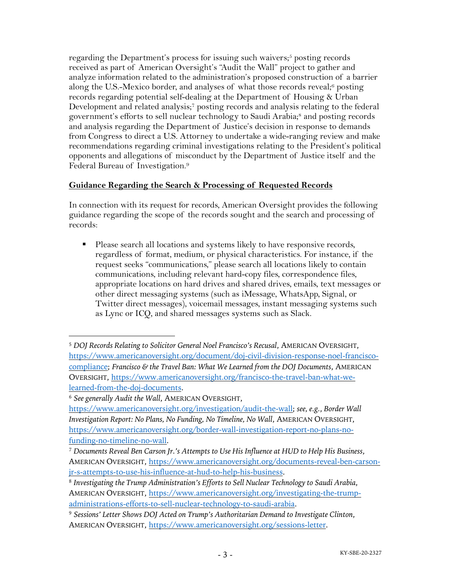regarding the Department's process for issuing such waivers;<sup>5</sup> posting records received as part of American Oversight's "Audit the Wall" project to gather and analyze information related to the administration's proposed construction of a barrier along the U.S.-Mexico border, and analyses of what those records reveal; $\epsilon$  posting records regarding potential self-dealing at the Department of Housing & Urban Development and related analysis;<sup>7</sup> posting records and analysis relating to the federal government's efforts to sell nuclear technology to Saudi Arabia;8 and posting records and analysis regarding the Department of Justice's decision in response to demands from Congress to direct a U.S. Attorney to undertake a wide-ranging review and make recommendations regarding criminal investigations relating to the President's political opponents and allegations of misconduct by the Department of Justice itself and the Federal Bureau of Investigation.9

### **Guidance Regarding the Search & Processing of Requested Records**

In connection with its request for records, American Oversight provides the following guidance regarding the scope of the records sought and the search and processing of records:

■ Please search all locations and systems likely to have responsive records, regardless of format, medium, or physical characteristics. For instance, if the request seeks "communications," please search all locations likely to contain communications, including relevant hard-copy files, correspondence files, appropriate locations on hard drives and shared drives, emails, text messages or other direct messaging systems (such as iMessage, WhatsApp, Signal, or Twitter direct messages), voicemail messages, instant messaging systems such as Lync or ICQ, and shared messages systems such as Slack.

<sup>5</sup> *DOJ Records Relating to Solicitor General Noel Francisco's Recusal*, AMERICAN OVERSIGHT, https://www.americanoversight.org/document/doj-civil-division-response-noel-franciscocompliance; *Francisco & the Travel Ban: What We Learned from the DOJ Documents*, AMERICAN OVERSIGHT, https://www.americanoversight.org/francisco-the-travel-ban-what-welearned-from-the-doj-documents.

<sup>6</sup> *See generally Audit the Wall*, AMERICAN OVERSIGHT,

https://www.americanoversight.org/investigation/audit-the-wall; *see, e.g.*, *Border Wall Investigation Report: No Plans, No Funding, No Timeline, No Wall*, AMERICAN OVERSIGHT, https://www.americanoversight.org/border-wall-investigation-report-no-plans-nofunding-no-timeline-no-wall.

<sup>7</sup> *Documents Reveal Ben Carson Jr.'s Attempts to Use His Influence at HUD to Help His Business*, AMERICAN OVERSIGHT, https://www.americanoversight.org/documents-reveal-ben-carsonjr-s-attempts-to-use-his-influence-at-hud-to-help-his-business.

<sup>8</sup> *Investigating the Trump Administration's Efforts to Sell Nuclear Technology to Saudi Arabia*, AMERICAN OVERSIGHT, https://www.americanoversight.org/investigating-the-trumpadministrations-efforts-to-sell-nuclear-technology-to-saudi-arabia.

<sup>9</sup> *Sessions' Letter Shows DOJ Acted on Trump's Authoritarian Demand to Investigate Clinton*, AMERICAN OVERSIGHT, https://www.americanoversight.org/sessions-letter.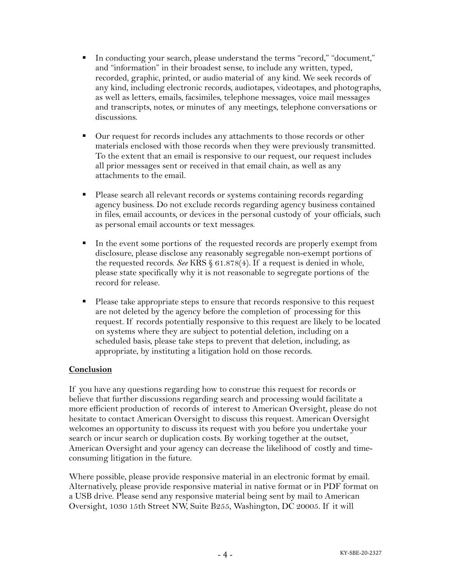- In conducting your search, please understand the terms "record," "document," and "information" in their broadest sense, to include any written, typed, recorded, graphic, printed, or audio material of any kind. We seek records of any kind, including electronic records, audiotapes, videotapes, and photographs, as well as letters, emails, facsimiles, telephone messages, voice mail messages and transcripts, notes, or minutes of any meetings, telephone conversations or discussions.
- § Our request for records includes any attachments to those records or other materials enclosed with those records when they were previously transmitted. To the extent that an email is responsive to our request, our request includes all prior messages sent or received in that email chain, as well as any attachments to the email.
- Please search all relevant records or systems containing records regarding agency business. Do not exclude records regarding agency business contained in files, email accounts, or devices in the personal custody of your officials, such as personal email accounts or text messages.
- In the event some portions of the requested records are properly exempt from disclosure, please disclose any reasonably segregable non-exempt portions of the requested records. *See* KRS § 61.878(4). If a request is denied in whole, please state specifically why it is not reasonable to segregate portions of the record for release.
- § Please take appropriate steps to ensure that records responsive to this request are not deleted by the agency before the completion of processing for this request. If records potentially responsive to this request are likely to be located on systems where they are subject to potential deletion, including on a scheduled basis, please take steps to prevent that deletion, including, as appropriate, by instituting a litigation hold on those records.

#### **Conclusion**

If you have any questions regarding how to construe this request for records or believe that further discussions regarding search and processing would facilitate a more efficient production of records of interest to American Oversight, please do not hesitate to contact American Oversight to discuss this request. American Oversight welcomes an opportunity to discuss its request with you before you undertake your search or incur search or duplication costs. By working together at the outset, American Oversight and your agency can decrease the likelihood of costly and timeconsuming litigation in the future.

Where possible, please provide responsive material in an electronic format by email. Alternatively, please provide responsive material in native format or in PDF format on a USB drive. Please send any responsive material being sent by mail to American Oversight, 1030 15th Street NW, Suite B255, Washington, DC 20005. If it will